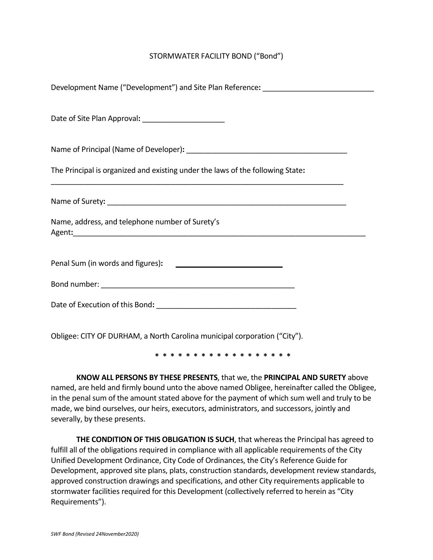## STORMWATER FACILITY BOND ("Bond")

| Development Name ("Development") and Site Plan Reference: ______________________ |  |  |
|----------------------------------------------------------------------------------|--|--|
| Date of Site Plan Approval: _______________________                              |  |  |
|                                                                                  |  |  |
| The Principal is organized and existing under the laws of the following State:   |  |  |
|                                                                                  |  |  |
| Name, address, and telephone number of Surety's                                  |  |  |
| Penal Sum (in words and figures): [10] Denal Sum (in words and figures):         |  |  |
|                                                                                  |  |  |
|                                                                                  |  |  |
| Obligee: CITY OF DURHAM, a North Carolina municipal corporation ("City").        |  |  |

**\* \* \* \* \* \* \* \* \* \* \* \* \* \* \* \* \* \***

**KNOW ALL PERSONS BY THESE PRESENTS**, that we, the **PRINCIPAL AND SURETY** above named, are held and firmly bound unto the above named Obligee, hereinafter called the Obligee, in the penal sum of the amount stated above for the payment of which sum well and truly to be made, we bind ourselves, our heirs, executors, administrators, and successors, jointly and severally, by these presents.

**THE CONDITION OF THIS OBLIGATION IS SUCH**, that whereas the Principal has agreed to fulfill all of the obligations required in compliance with all applicable requirements of the City Unified Development Ordinance, City Code of Ordinances, the City's Reference Guide for Development, approved site plans, plats, construction standards, development review standards, approved construction drawings and specifications, and other City requirements applicable to stormwater facilities required for this Development (collectively referred to herein as "City Requirements").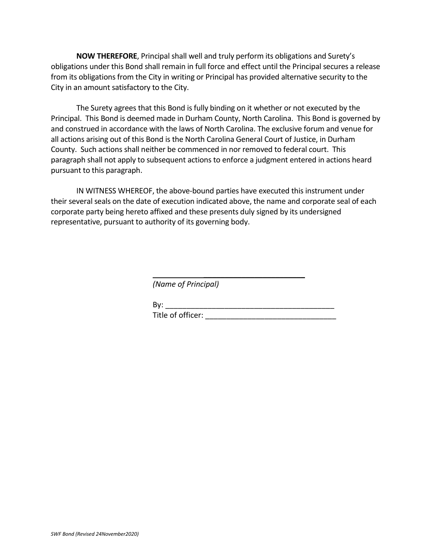**NOW THEREFORE**, Principal shall well and truly perform its obligations and Surety's obligations under this Bond shall remain in full force and effect until the Principal secures a release from its obligations from the City in writing or Principal has provided alternative security to the City in an amount satisfactory to the City.

The Surety agrees that this Bond is fully binding on it whether or not executed by the Principal. This Bond is deemed made in Durham County, North Carolina. This Bond is governed by and construed in accordance with the laws of North Carolina. The exclusive forum and venue for all actions arising out of this Bond is the North Carolina General Court of Justice, in Durham County. Such actions shall neither be commenced in nor removed to federal court. This paragraph shall not apply to subsequent actions to enforce a judgment entered in actions heard pursuant to this paragraph.

IN WITNESS WHEREOF, the above-bound parties have executed this instrument under their several seals on the date of execution indicated above, the name and corporate seal of each corporate party being hereto affixed and these presents duly signed by its undersigned representative, pursuant to authority of its governing body.

> $\overline{\phantom{a}}$  , where  $\overline{\phantom{a}}$  , where  $\overline{\phantom{a}}$  , where  $\overline{\phantom{a}}$ *(Name of Principal)*

By: \_\_\_\_\_\_\_\_\_\_\_\_\_\_\_\_\_\_\_\_\_\_\_\_\_\_\_\_\_\_\_\_\_\_\_\_\_\_\_\_ Title of officer: **with a strategies**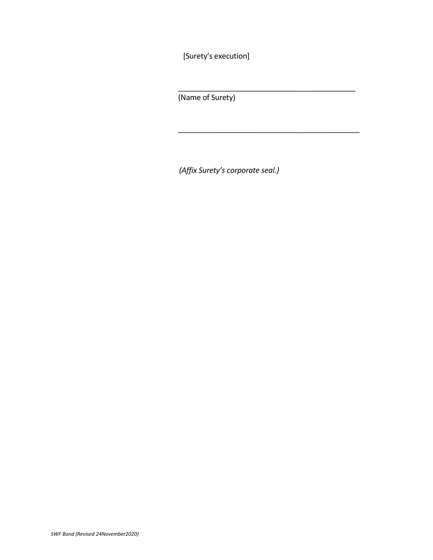[Surety's execution]

(Name of Surety)

*(Affix Surety's corporate seal.)*

\_\_\_\_\_\_\_\_\_\_\_\_\_\_\_\_\_\_\_\_\_\_\_\_\_\_\_\_\_\_\_\_\_\_\_\_\_\_\_\_\_\_\_

\_\_\_\_\_\_\_\_\_\_\_\_\_\_\_\_\_\_\_\_\_\_\_\_\_\_\_\_\_\_\_\_\_\_\_\_\_\_\_\_\_\_\_\_ *(Signature of attorney in fact)*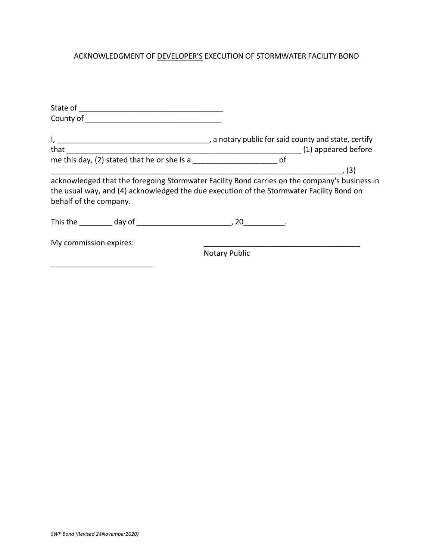## ACKNOWLEDGMENT OF DEVELOPER'S EXECUTION OF STORMWATER FACILITY BOND

| me this day, (2) stated that he or she is a                                                                                                                                                                         |                      |  |
|---------------------------------------------------------------------------------------------------------------------------------------------------------------------------------------------------------------------|----------------------|--|
|                                                                                                                                                                                                                     |                      |  |
| acknowledged that the foregoing Stormwater Facility Bond carries on the company's business in<br>the usual way, and (4) acknowledged the due execution of the Stormwater Facility Bond on<br>behalf of the company. |                      |  |
|                                                                                                                                                                                                                     |                      |  |
| My commission expires:                                                                                                                                                                                              |                      |  |
|                                                                                                                                                                                                                     | <b>Notary Public</b> |  |
|                                                                                                                                                                                                                     |                      |  |